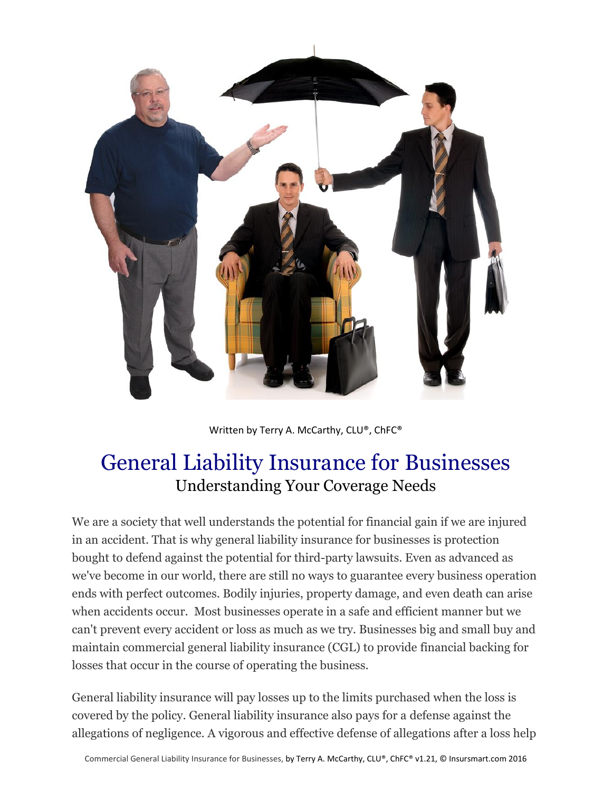

Written by Terry A. McCarthy, CLU®, ChFC®

# General Liability Insurance for Businesses Understanding Your Coverage Needs

We are a society that well understands the potential for financial gain if we are injured in an accident. That is why general liability insurance for businesses is protection bought to defend against the potential for third-party lawsuits. Even as advanced as we've become in our world, there are still no ways to guarantee every business operation ends with perfect outcomes. Bodily injuries, property damage, and even death can arise when accidents occur. Most businesses operate in a safe and efficient manner but we can't prevent every accident or loss as much as we try. Businesses big and small buy and maintain commercial general liability insurance (CGL) to provide financial backing for losses that occur in the course of operating the business.

General liability insurance will pay losses up to the limits purchased when the loss is covered by the policy. General liability insurance also pays for a defense against the allegations of negligence. A vigorous and effective defense of allegations after a loss help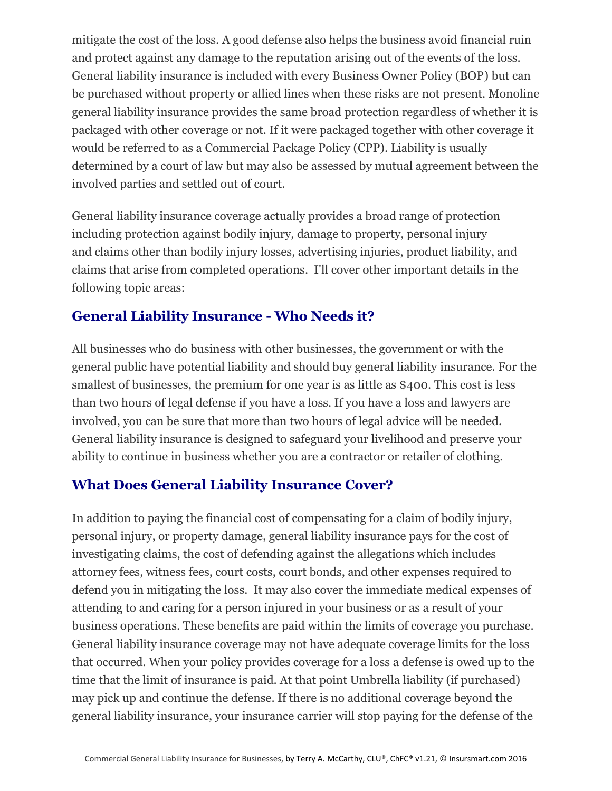mitigate the cost of the loss. A good defense also helps the business avoid financial ruin and protect against any damage to the reputation arising out of the events of the loss. General liability insurance is included with every Business Owner Policy (BOP) but can be purchased without property or allied lines when these risks are not present. Monoline general liability insurance provides the same broad protection regardless of whether it is packaged with other coverage or not. If it were packaged together with other coverage it would be referred to as a Commercial Package Policy (CPP). Liability is usually determined by a court of law but may also be assessed by mutual agreement between the involved parties and settled out of court.

General liability insurance coverage actually provides a broad range of protection including protection against bodily injury, damage to property, personal injury and claims other than bodily injury losses, advertising injuries, product liability, and claims that arise from completed operations. I'll cover other important details in the following topic areas:

# **General Liability Insurance - Who Needs it?**

All businesses who do business with other businesses, the government or with the general public have potential liability and should buy general liability insurance. For the smallest of businesses, the premium for one year is as little as \$400. This cost is less than two hours of legal defense if you have a loss. If you have a loss and lawyers are involved, you can be sure that more than two hours of legal advice will be needed. General liability insurance is designed to safeguard your livelihood and preserve your ability to continue in business whether you are a contractor or retailer of clothing.

#### **What Does General Liability Insurance Cover?**

In addition to paying the financial cost of compensating for a claim of bodily injury, personal injury, or property damage, general liability insurance pays for the cost of investigating claims, the cost of defending against the allegations which includes attorney fees, witness fees, court costs, court bonds, and other expenses required to defend you in mitigating the loss. It may also cover the immediate medical expenses of attending to and caring for a person injured in your business or as a result of your business operations. These benefits are paid within the limits of coverage you purchase. General liability insurance coverage may not have adequate coverage limits for the loss that occurred. When your policy provides coverage for a loss a defense is owed up to the time that the limit of insurance is paid. At that point Umbrella liability (if purchased) may pick up and continue the defense. If there is no additional coverage beyond the general liability insurance, your insurance carrier will stop paying for the defense of the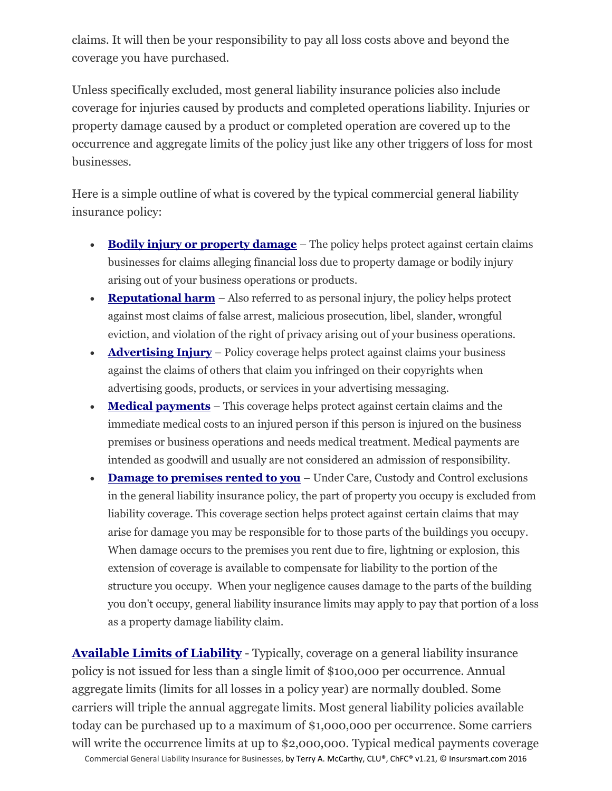claims. It will then be your responsibility to pay all loss costs above and beyond the coverage you have purchased.

Unless specifically excluded, most general liability insurance policies also include coverage for injuries caused by products and completed operations liability. Injuries or property damage caused by a product or completed operation are covered up to the occurrence and aggregate limits of the policy just like any other triggers of loss for most businesses.

Here is a simple outline of what is covered by the typical commercial general liability insurance policy:

- **Bodily injury or property damage** The policy helps protect against certain claims businesses for claims alleging financial loss due to property damage or bodily injury arising out of your business operations or products.
- **Reputational harm** Also referred to as personal injury, the policy helps protect against most claims of false arrest, malicious prosecution, libel, slander, wrongful eviction, and violation of the right of privacy arising out of your business operations.
- **Advertising Injury** Policy coverage helps protect against claims your business against the claims of others that claim you infringed on their copyrights when advertising goods, products, or services in your advertising messaging.
- **Medical payments** This coverage helps protect against certain claims and the immediate medical costs to an injured person if this person is injured on the business premises or business operations and needs medical treatment. Medical payments are intended as goodwill and usually are not considered an admission of responsibility.
- **Damage to premises rented to you** Under Care, Custody and Control exclusions in the general liability insurance policy, the part of property you occupy is excluded from liability coverage. This coverage section helps protect against certain claims that may arise for damage you may be responsible for to those parts of the buildings you occupy. When damage occurs to the premises you rent due to fire, lightning or explosion, this extension of coverage is available to compensate for liability to the portion of the structure you occupy. When your negligence causes damage to the parts of the building you don't occupy, general liability insurance limits may apply to pay that portion of a loss as a property damage liability claim.

Commercial General Liability Insurance for Businesses, by Terry A. McCarthy, CLU®, ChFC® v1.21, © Insursmart.com 2016 **Available Limits of Liability** - Typically, coverage on a general liability insurance policy is not issued for less than a single limit of \$100,000 per occurrence. Annual aggregate limits (limits for all losses in a policy year) are normally doubled. Some carriers will triple the annual aggregate limits. Most general liability policies available today can be purchased up to a maximum of \$1,000,000 per occurrence. Some carriers will write the occurrence limits at up to \$2,000,000. Typical medical payments coverage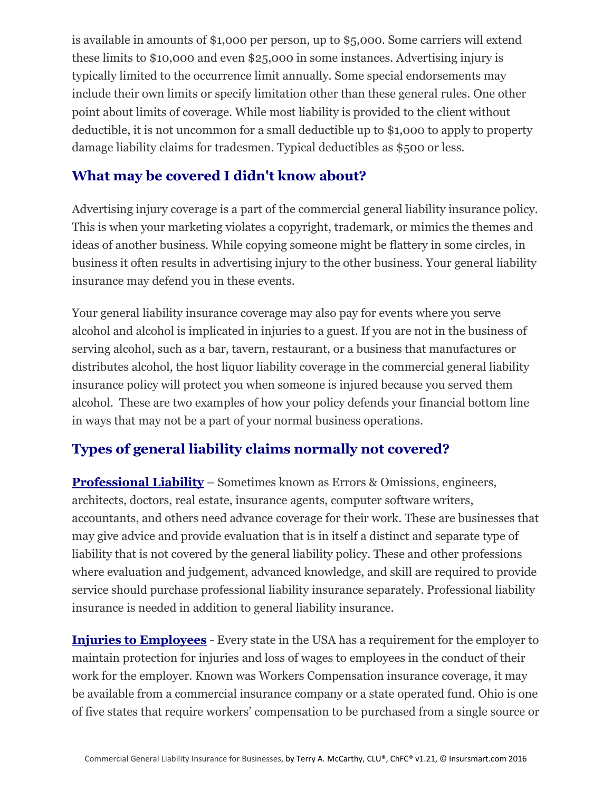is available in amounts of \$1,000 per person, up to \$5,000. Some carriers will extend these limits to \$10,000 and even \$25,000 in some instances. Advertising injury is typically limited to the occurrence limit annually. Some special endorsements may include their own limits or specify limitation other than these general rules. One other point about limits of coverage. While most liability is provided to the client without deductible, it is not uncommon for a small deductible up to \$1,000 to apply to property damage liability claims for tradesmen. Typical deductibles as \$500 or less.

### **What may be covered I didn't know about?**

Advertising injury coverage is a part of the commercial general liability insurance policy. This is when your marketing violates a copyright, trademark, or mimics the themes and ideas of another business. While copying someone might be flattery in some circles, in business it often results in advertising injury to the other business. Your general liability insurance may defend you in these events.

Your general liability insurance coverage may also pay for events where you serve alcohol and alcohol is implicated in injuries to a guest. If you are not in the business of serving alcohol, such as a bar, tavern, restaurant, or a business that manufactures or distributes alcohol, the host liquor liability coverage in the commercial general liability insurance policy will protect you when someone is injured because you served them alcohol. These are two examples of how your policy defends your financial bottom line in ways that may not be a part of your normal business operations.

# **Types of general liability claims normally not covered?**

**Professional Liability** – Sometimes known as Errors & Omissions, engineers, architects, doctors, real estate, insurance agents, computer software writers, accountants, and others need advance coverage for their work. These are businesses that may give advice and provide evaluation that is in itself a distinct and separate type of liability that is not covered by the general liability policy. These and other professions where evaluation and judgement, advanced knowledge, and skill are required to provide service should purchase professional liability insurance separately. Professional liability insurance is needed in addition to general liability insurance.

**Injuries to Employees** - Every state in the USA has a requirement for the employer to maintain protection for injuries and loss of wages to employees in the conduct of their work for the employer. Known was Workers Compensation insurance coverage, it may be available from a commercial insurance company or a state operated fund. Ohio is one of five states that require workers' compensation to be purchased from a single source or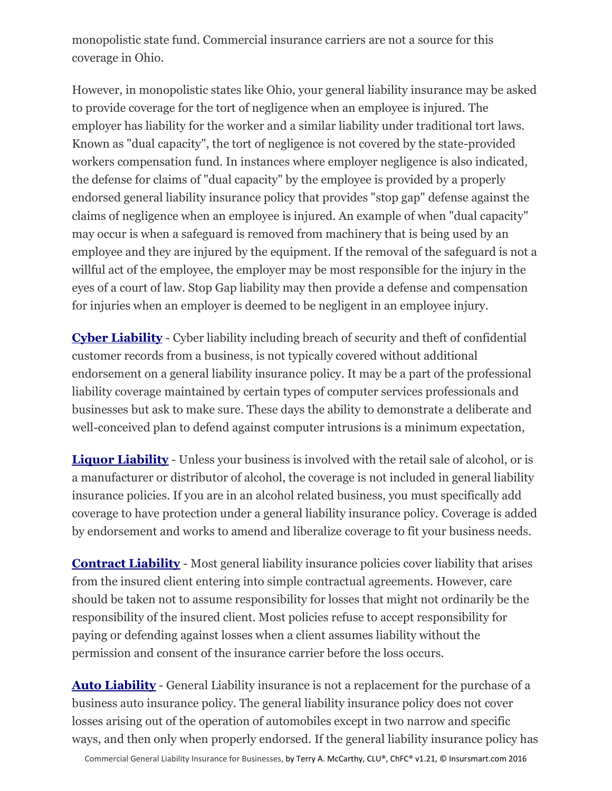monopolistic state fund. Commercial insurance carriers are not a source for this coverage in Ohio.

However, in monopolistic states like Ohio, your general liability insurance may be asked to provide coverage for the tort of negligence when an employee is injured. The employer has liability for the worker and a similar liability under traditional tort laws. Known as "dual capacity", the tort of negligence is not covered by the state-provided workers compensation fund. In instances where employer negligence is also indicated, the defense for claims of "dual capacity" by the employee is provided by a properly endorsed general liability insurance policy that provides "stop gap" defense against the claims of negligence when an employee is injured. An example of when "dual capacity" may occur is when a safeguard is removed from machinery that is being used by an employee and they are injured by the equipment. If the removal of the safeguard is not a willful act of the employee, the employer may be most responsible for the injury in the eyes of a court of law. Stop Gap liability may then provide a defense and compensation for injuries when an employer is deemed to be negligent in an employee injury.

**Cyber Liability** - Cyber liability including breach of security and theft of confidential customer records from a business, is not typically covered without additional endorsement on a general liability insurance policy. It may be a part of the professional liability coverage maintained by certain types of computer services professionals and businesses but ask to make sure. These days the ability to demonstrate a deliberate and well-conceived plan to defend against computer intrusions is a minimum expectation,

**Liquor Liability** - Unless your business is involved with the retail sale of alcohol, or is a manufacturer or distributor of alcohol, the coverage is not included in general liability insurance policies. If you are in an alcohol related business, you must specifically add coverage to have protection under a general liability insurance policy. Coverage is added by endorsement and works to amend and liberalize coverage to fit your business needs.

**Contract Liability** - Most general liability insurance policies cover liability that arises from the insured client entering into simple contractual agreements. However, care should be taken not to assume responsibility for losses that might not ordinarily be the responsibility of the insured client. Most policies refuse to accept responsibility for paying or defending against losses when a client assumes liability without the permission and consent of the insurance carrier before the loss occurs.

**Auto Liability** - General Liability insurance is not a replacement for the purchase of a business auto insurance policy. The general liability insurance policy does not cover losses arising out of the operation of automobiles except in two narrow and specific ways, and then only when properly endorsed. If the general liability insurance policy has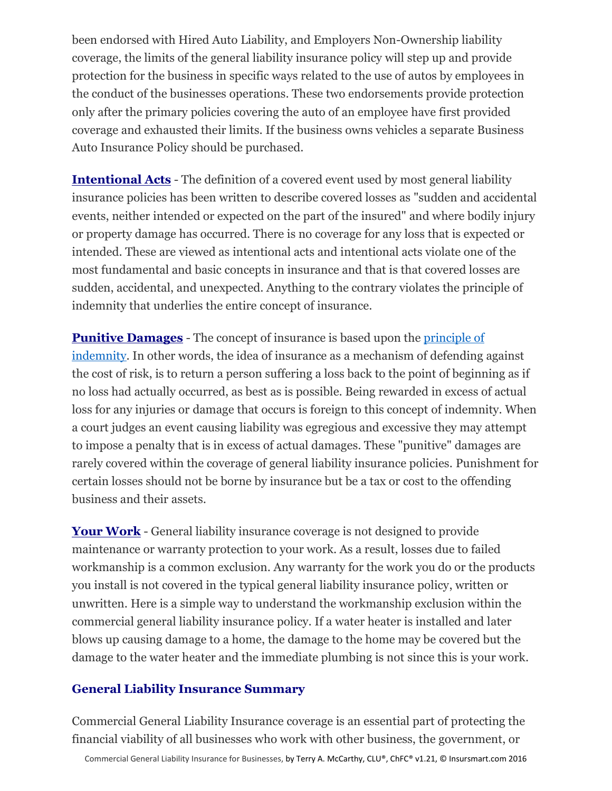been endorsed with Hired Auto Liability, and Employers Non-Ownership liability coverage, the limits of the general liability insurance policy will step up and provide protection for the business in specific ways related to the use of autos by employees in the conduct of the businesses operations. These two endorsements provide protection only after the primary policies covering the auto of an employee have first provided coverage and exhausted their limits. If the business owns vehicles a separate Business Auto Insurance Policy should be purchased.

**Intentional Acts** - The definition of a covered event used by most general liability insurance policies has been written to describe covered losses as "sudden and accidental events, neither intended or expected on the part of the insured" and where bodily injury or property damage has occurred. There is no coverage for any loss that is expected or intended. These are viewed as intentional acts and intentional acts violate one of the most fundamental and basic concepts in insurance and that is that covered losses are sudden, accidental, and unexpected. Anything to the contrary violates the principle of indemnity that underlies the entire concept of insurance.

**Punitive Damages** - The concept of insurance is based upon the [principle of](http://definitions.uslegal.com/i/indemnity-principle/)  [indemnity.](http://definitions.uslegal.com/i/indemnity-principle/) In other words, the idea of insurance as a mechanism of defending against the cost of risk, is to return a person suffering a loss back to the point of beginning as if no loss had actually occurred, as best as is possible. Being rewarded in excess of actual loss for any injuries or damage that occurs is foreign to this concept of indemnity. When a court judges an event causing liability was egregious and excessive they may attempt to impose a penalty that is in excess of actual damages. These "punitive" damages are rarely covered within the coverage of general liability insurance policies. Punishment for certain losses should not be borne by insurance but be a tax or cost to the offending business and their assets.

**Your Work** - General liability insurance coverage is not designed to provide maintenance or warranty protection to your work. As a result, losses due to failed workmanship is a common exclusion. Any warranty for the work you do or the products you install is not covered in the typical general liability insurance policy, written or unwritten. Here is a simple way to understand the workmanship exclusion within the commercial general liability insurance policy. If a water heater is installed and later blows up causing damage to a home, the damage to the home may be covered but the damage to the water heater and the immediate plumbing is not since this is your work.

#### **General Liability Insurance Summary**

Commercial General Liability Insurance coverage is an essential part of protecting the financial viability of all businesses who work with other business, the government, or